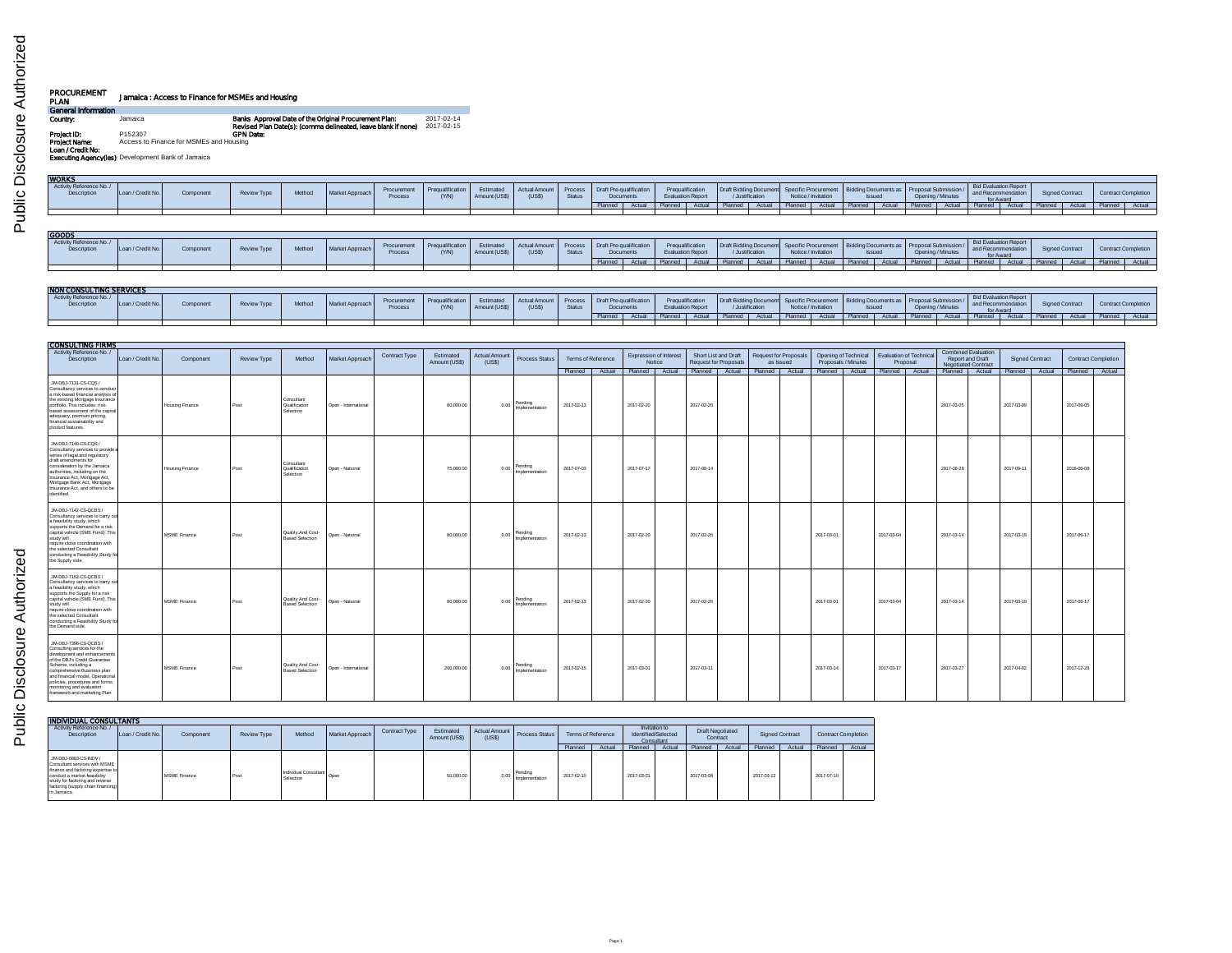| PROCUREMENT<br>PLAN                | Jamaica: Access to Finance for MSMEs and Housing  |                                                                                                                        |                          |
|------------------------------------|---------------------------------------------------|------------------------------------------------------------------------------------------------------------------------|--------------------------|
| General Information                |                                                   |                                                                                                                        |                          |
| Country:                           | Jamaica                                           | Banks Approval Date of the Original Procurement Plan:<br>Revised Plan Date(s): (comma delineated, leave blank if none) | 2017-02-14<br>2017-02-15 |
| Project ID:                        | P152307                                           | <b>GPN Date:</b>                                                                                                       |                          |
| Project Name:<br>Loan / Credit No: | Access to Finance for MSMEs and Housing           |                                                                                                                        |                          |
|                                    | Executing Agencyflest Development Bank of Jamaica |                                                                                                                        |                          |

| <b>WORKS</b>                           |                   |           |             |        |                 |                        |                                        |                            |                               |                   |                                                 |        |                                                                  |        |                        |                          |         |                                             |                  |                                                                                                           |                                |        |                                                                     |        |           |                                  |                                              |
|----------------------------------------|-------------------|-----------|-------------|--------|-----------------|------------------------|----------------------------------------|----------------------------|-------------------------------|-------------------|-------------------------------------------------|--------|------------------------------------------------------------------|--------|------------------------|--------------------------|---------|---------------------------------------------|------------------|-----------------------------------------------------------------------------------------------------------|--------------------------------|--------|---------------------------------------------------------------------|--------|-----------|----------------------------------|----------------------------------------------|
| Activity Reference No./<br>Description | Loan / Credit No. | Component | Review Type | Method | Market Approach | Procurement<br>Proces: | <sup>1</sup> Pregualification<br>(Y/N) | Estimated<br>Amount (US\$) | <b>Actual Amount</b><br>(USS) | Proces:<br>Status | Draft Pre-qualification<br>Documents            |        | Prequalification<br><b>Evaluation Report</b>                     |        | Draft Bidding Document | /Justification           |         | Specific Procurement<br>Notice / Invitation |                  | Bidding Documents as   Proposal Submissic<br><b>Issued</b>                                                | Opening / Minutes              |        | Bid Evaluation Report<br>and Recommendation<br>for Award            |        |           | <b>Signed Contract</b>           | <b>Contract Completion</b>                   |
|                                        |                   |           |             |        |                 |                        |                                        |                            |                               |                   | Planned                                         | Actual |                                                                  | Actual |                        | Actual                   | Planned | Actual                                      | Planned I        | Actual                                                                                                    | Planned                        | Actual | Planned                                                             | Actual | Planned   | Actual                           | Actual<br>Planned                            |
|                                        |                   |           |             |        |                 |                        |                                        |                            |                               |                   |                                                 |        |                                                                  |        |                        |                          |         |                                             |                  |                                                                                                           |                                |        |                                                                     |        |           |                                  |                                              |
| GOODS                                  |                   |           |             |        |                 |                        |                                        |                            |                               |                   |                                                 |        |                                                                  |        |                        |                          |         |                                             |                  |                                                                                                           |                                |        |                                                                     |        |           |                                  |                                              |
|                                        |                   |           |             |        |                 |                        |                                        |                            |                               |                   |                                                 |        |                                                                  |        |                        |                          |         |                                             |                  |                                                                                                           |                                |        |                                                                     |        |           |                                  |                                              |
| Activity Reference No./<br>Description | Loan / Credit No. | Component | Review Type | Method | Market Approach | Procurement<br>Process | Prequalification<br>(YM)               | Estimated<br>Amount (US\$) | Actual Amount<br>(USS)        | Process<br>Status | Draft Pre-qualification<br>Documents<br>Planned | Actual | Prequalification<br><b>Evaluation Report</b><br>Planned   Actual |        | Planned                | /Justification<br>Actual | Planned | Notice / Invitation<br>Actual               | Planned   Actual | Draft Bidding Document Specific Procurement   Bidding Documents as   Proposal Submission<br><b>Issued</b> | Opening / Minutes<br>Planned I | Actual | Bid Evaluation Report<br>and Recommendation<br>for Award<br>Planned | Actual | Planned L | <b>Signed Contract</b><br>Actual | <b>Contract Completion</b><br>Planned Actual |

| NON CONSULTING SERVICES                       |                   |           |             |        |                 |                        |                  |                         |                                                            |        |                |                |                                      |         |               |                                                                                                               |        |               |           |                |                   |                                                   |                 |        |                            |
|-----------------------------------------------|-------------------|-----------|-------------|--------|-----------------|------------------------|------------------|-------------------------|------------------------------------------------------------|--------|----------------|----------------|--------------------------------------|---------|---------------|---------------------------------------------------------------------------------------------------------------|--------|---------------|-----------|----------------|-------------------|---------------------------------------------------|-----------------|--------|----------------------------|
| Activity Reference No./<br><b>Description</b> | Loan / Credit No. | Component | Review Type | Method | Market Approach | Procurement<br>Process | Pregualification | Estimated<br>Amount (US | Actual Amount Process   Draft Pre-qualification  <br>(USS) | Status | <b>Documer</b> |                | Prequalification<br>valuation Report |         | Instification | Draft Bidding Document Specific Procurement Bidding Documents as Proposal Submission /<br>Notice / Invitation |        | <b>Issued</b> |           |                | Opening / Minutes | <b>Bid Evaluation Report</b><br>and Recommendatio | Signed Contract |        | <b>Contract Completion</b> |
|                                               |                   |           |             |        |                 |                        |                  |                         |                                                            |        | Planned        | Actual Planned | Actual                               | Planned | Actual        | Planned                                                                                                       | Actual | Planned       | $A$ chiel | <b>Planned</b> | Actual            | Planned Actual                                    | Planned         | Actual | Planned Actual             |
|                                               |                   |           |             |        |                 |                        |                  |                         |                                                            |        |                |                |                                      |         |               |                                                                                                               |        |               |           |                |                   |                                                   |                 |        |                            |

| <b>CONSULTING FIRMS</b>                                                                                                                                                                                                                                                                                         |                   |                        |                    |                                             |                      |               |                            |                                |                           |                    |  |                                              |  |                                               |           |                       |                     |                      |                                                             |                                                                              |                        |                            |  |
|-----------------------------------------------------------------------------------------------------------------------------------------------------------------------------------------------------------------------------------------------------------------------------------------------------------------|-------------------|------------------------|--------------------|---------------------------------------------|----------------------|---------------|----------------------------|--------------------------------|---------------------------|--------------------|--|----------------------------------------------|--|-----------------------------------------------|-----------|-----------------------|---------------------|----------------------|-------------------------------------------------------------|------------------------------------------------------------------------------|------------------------|----------------------------|--|
| Activity Reference No./<br><b>Description</b>                                                                                                                                                                                                                                                                   | Loan / Credit No. | Component              | <b>Review Type</b> | Method                                      | Market Approach      | Contract Type | Estimated<br>Amount (US\$) | <b>Actual Amount</b><br>(US\$) | <b>Process Status</b>     | Terms of Reference |  | <b>Expression of Interest</b><br>Notice      |  | Short List and Draft<br>Request for Proposals | as Issued | Request for Proposals | Proposals / Minutes | Opening of Technical | Evaluation of Technical<br>Proposal                         | <b>Combined Evaluation</b><br>Report and Draft<br><b>Negotiated Contract</b> | <b>Signed Contract</b> | <b>Contract Completion</b> |  |
|                                                                                                                                                                                                                                                                                                                 |                   |                        |                    |                                             |                      |               |                            |                                |                           | Planned Actual     |  | Planned Actual Planned Actual Planned Actual |  |                                               |           |                       | Planned Actual      |                      | Planned Actual Planned Actual Planned Actual Planned Actual |                                                                              |                        |                            |  |
| JM-DBJ-7131-CS-CQS /<br>Consultancy services to conduct<br>a risk-based financial analysis of<br>the existing Mortgage Insurance<br>portfolio. This includes: risk-<br>based assessment of the capital<br>adequacy, premium pricing,<br>financial sustainability and<br>product features.                       |                   | <b>Housing Finance</b> | Post               | Consultant<br>Qualification<br>Selection    | Open - International |               | 80,000.00                  | 0.00                           | Pending<br>Implementation | 2017-02-13         |  | 2017-02-20                                   |  | 2017-02-26                                    |           |                       |                     |                      |                                                             | 2017-03-05                                                                   | 2017-03-09             | 2017-09-05                 |  |
| JM-DBJ-7140-CS-CQS /<br>Consultancy services to provide a<br>series of legal and regulatory<br>draft amendments for<br>consideration by the Jamaica<br>authorities, including on the<br>Insurance Act, Mortgage Act,<br>Mortgage Bank Act, Mortgage<br>Insurance Act, and others to be<br>identified.           |                   | <b>Housing Finance</b> | Post               | Consultant<br>Qualification<br>Selection    | Open - National      |               | 75,000.00                  | 0.00                           | Pending<br>Implementation | 2017-07-03         |  | 2017-07-17                                   |  | 2017-08-14                                    |           |                       |                     |                      |                                                             | 2017-08-28                                                                   | 2017-09-11             | 2018-06-08                 |  |
| JM-DBJ-7142-CS-QCBS /<br>Consultancy services to carry out<br>a feasibility study, which<br>supports the Demand for a risk<br>capital vehicle (SME Fund). This<br>study will<br>require close coordination with<br>the selected Consultant<br>conducting a Feasibility Study fo<br>the Supply side.             |                   | MSME Finance           | Post               | Quality And Cost-<br><b>Based Selection</b> | Open - National      |               | 80,000.00                  | 0.00                           | Pending<br>Implementation | 2017-02-13         |  | 2017-02-20                                   |  | 2017-02-26                                    |           |                       | 2017-03-01          |                      | 2017-03-04                                                  | 2017-03-14                                                                   | 2017-03-19             | 2017-06-17                 |  |
| JM-DBJ-7152-CS-QCBS /<br>Consultancy services to carry out<br>a feasibility study, which<br>supports the Supply for a risk<br>capital vehicle (SME Fund). This<br>study will<br>require close coordination with<br>the selected Consultant<br>conducting a Feasibility Study for<br>the Demand side.            |                   | MSME Finance           | Post               | Quality And Cost-<br><b>Based Selection</b> | Open - National      |               | 80,000.00                  | 0.00                           | Pendina<br>Implementation | 2017-02-13         |  | 2017-02-20                                   |  | 2017-02-26                                    |           |                       | 2017-03-01          |                      | 2017-03-04                                                  | 2017-03-14                                                                   | 2017-03-19             | 2017-06-17                 |  |
| JM-DBJ-7396-CS-QCBS /<br>Consulting services for the<br>development and enhancements<br>of the DBJ's Credit Guarantee<br>Scheme, including a<br>comprehensive Business plan<br>and financial model, Operational<br>policies, procedures and forms,<br>monitoring and evaluation<br>framework and marketing Plan |                   | MSME Finance           | Post               | Quality And Cost-<br><b>Based Selection</b> | Open - International |               | 200,000.00                 | 0.00                           | Pending<br>Implementation | 2017-02-15         |  | 2017-03-01                                   |  | 2017-03-11                                    |           |                       | 2017-03-14          |                      | 2017-03-17                                                  | 2017-03-27                                                                   | 2017-04-02             | 2017-12-28                 |  |

| <b>INDIVIDUAL CONSULTANTS</b>                                                                                                                                                                                        |                   |              |                    |                                      |                 |               |                            |       |                                |            |                    |            |                                                    |                                     |        |                        |        |            |                     |
|----------------------------------------------------------------------------------------------------------------------------------------------------------------------------------------------------------------------|-------------------|--------------|--------------------|--------------------------------------|-----------------|---------------|----------------------------|-------|--------------------------------|------------|--------------------|------------|----------------------------------------------------|-------------------------------------|--------|------------------------|--------|------------|---------------------|
| Activity Reference No./<br>Description                                                                                                                                                                               | Loan / Credit No. | Component    | <b>Review Type</b> | Method                               | Market Approach | Contract Type | Estimated<br>Amount (US\$) | (USS) | Actual Amount Process Status I |            | Terms of Reference |            | Invitation to<br>Identified/Selected<br>Consultant | <b>Draft Negotiated</b><br>Contract |        | <b>Signed Contract</b> |        |            | Contract Completion |
|                                                                                                                                                                                                                      |                   |              |                    |                                      |                 |               |                            |       |                                | Planned    | Actual             | Planned    | Actual                                             | Planned                             | Actual | Planned                | Actual | Planned    | Actual              |
| JM-DBJ-6803-CS-INDV /<br>Consultant services with MSME<br>finance and factoring expertise to<br>conduct a market feasibility<br>study for factoring and reverse<br>factoring (supply chain financing)<br>in Jamaica. |                   | MSME Finance | Post               | I Individual Consultant<br>Selection |                 |               | 50,000.00                  | 0.00  | Pending<br>Implementation      | 2017-02-10 |                    | 2017-03-01 |                                                    | 2017-03-08                          |        | 2017-03-12             |        | 2017-07-10 |                     |